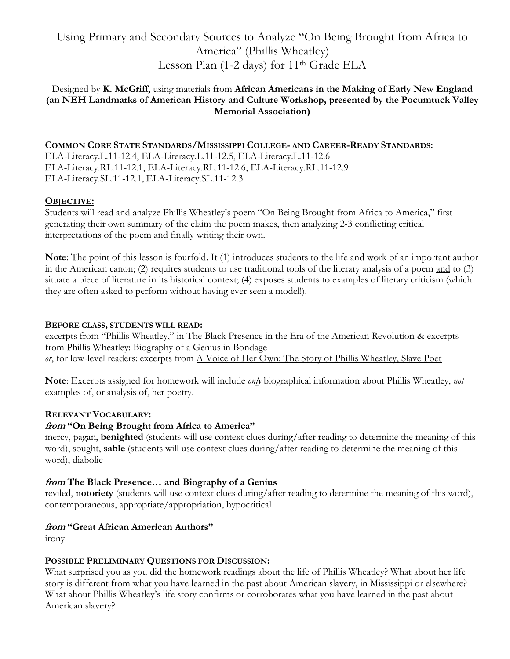# Using Primary and Secondary Sources to Analyze "On Being Brought from Africa to America" (Phillis Wheatley) Lesson Plan (1-2 days) for 11<sup>th</sup> Grade ELA

# Designed by **K. McGriff,** using materials from **African Americans in the Making of Early New England (an NEH Landmarks of American History and Culture Workshop, presented by the Pocumtuck Valley Memorial Association)**

## **COMMON CORE STATE STANDARDS/MISSISSIPPI COLLEGE- AND CAREER-READY STANDARDS:**

ELA-Literacy.L.11-12.4, ELA-Literacy.L.11-12.5, ELA-Literacy.L.11-12.6 ELA-Literacy.RL.11-12.1, ELA-Literacy.RL.11-12.6, ELA-Literacy.RL.11-12.9 ELA-Literacy.SL.11-12.1, ELA-Literacy.SL.11-12.3

## **OBJECTIVE:**

Students will read and analyze Phillis Wheatley's poem "On Being Brought from Africa to America," first generating their own summary of the claim the poem makes, then analyzing 2-3 conflicting critical interpretations of the poem and finally writing their own.

**Note**: The point of this lesson is fourfold. It (1) introduces students to the life and work of an important author in the American canon; (2) requires students to use traditional tools of the literary analysis of a poem and to (3) situate a piece of literature in its historical context; (4) exposes students to examples of literary criticism (which they are often asked to perform without having ever seen a model!).

#### **BEFORE CLASS, STUDENTS WILL READ:**

excerpts from "Phillis Wheatley," in The Black Presence in the Era of the American Revolution & excerpts from Phillis Wheatley: Biography of a Genius in Bondage *or*, for low-level readers: excerpts from A Voice of Her Own: The Story of Phillis Wheatley, Slave Poet

**Note**: Excerpts assigned for homework will include *only* biographical information about Phillis Wheatley, *not* examples of, or analysis of, her poetry.

## **RELEVANT VOCABULARY:**

# **from "On Being Brought from Africa to America"**

mercy, pagan, **benighted** (students will use context clues during/after reading to determine the meaning of this word), sought, **sable** (students will use context clues during/after reading to determine the meaning of this word), diabolic

## **from The Black Presence… and Biography of a Genius**

reviled, **notoriety** (students will use context clues during/after reading to determine the meaning of this word), contemporaneous, appropriate/appropriation, hypocritical

## **from "Great African American Authors"**

irony

## **POSSIBLE PRELIMINARY QUESTIONS FOR DISCUSSION:**

What surprised you as you did the homework readings about the life of Phillis Wheatley? What about her life story is different from what you have learned in the past about American slavery, in Mississippi or elsewhere? What about Phillis Wheatley's life story confirms or corroborates what you have learned in the past about American slavery?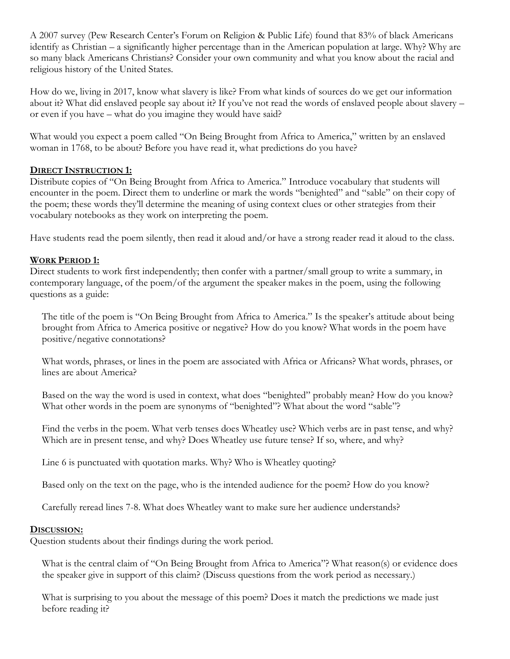A 2007 survey (Pew Research Center's Forum on Religion & Public Life) found that 83% of black Americans identify as Christian – a significantly higher percentage than in the American population at large. Why? Why are so many black Americans Christians? Consider your own community and what you know about the racial and religious history of the United States.

How do we, living in 2017, know what slavery is like? From what kinds of sources do we get our information about it? What did enslaved people say about it? If you've not read the words of enslaved people about slavery – or even if you have – what do you imagine they would have said?

What would you expect a poem called "On Being Brought from Africa to America," written by an enslaved woman in 1768, to be about? Before you have read it, what predictions do you have?

# **DIRECT INSTRUCTION 1:**

Distribute copies of "On Being Brought from Africa to America." Introduce vocabulary that students will encounter in the poem. Direct them to underline or mark the words "benighted" and "sable" on their copy of the poem; these words they'll determine the meaning of using context clues or other strategies from their vocabulary notebooks as they work on interpreting the poem.

Have students read the poem silently, then read it aloud and/or have a strong reader read it aloud to the class.

# **WORK PERIOD 1:**

Direct students to work first independently; then confer with a partner/small group to write a summary, in contemporary language, of the poem/of the argument the speaker makes in the poem, using the following questions as a guide:

The title of the poem is "On Being Brought from Africa to America." Is the speaker's attitude about being brought from Africa to America positive or negative? How do you know? What words in the poem have positive/negative connotations?

What words, phrases, or lines in the poem are associated with Africa or Africans? What words, phrases, or lines are about America?

Based on the way the word is used in context, what does "benighted" probably mean? How do you know? What other words in the poem are synonyms of "benighted"? What about the word "sable"?

Find the verbs in the poem. What verb tenses does Wheatley use? Which verbs are in past tense, and why? Which are in present tense, and why? Does Wheatley use future tense? If so, where, and why?

Line 6 is punctuated with quotation marks. Why? Who is Wheatley quoting?

Based only on the text on the page, who is the intended audience for the poem? How do you know?

Carefully reread lines 7-8. What does Wheatley want to make sure her audience understands?

## **DISCUSSION:**

Question students about their findings during the work period.

What is the central claim of "On Being Brought from Africa to America"? What reason(s) or evidence does the speaker give in support of this claim? (Discuss questions from the work period as necessary.)

What is surprising to you about the message of this poem? Does it match the predictions we made just before reading it?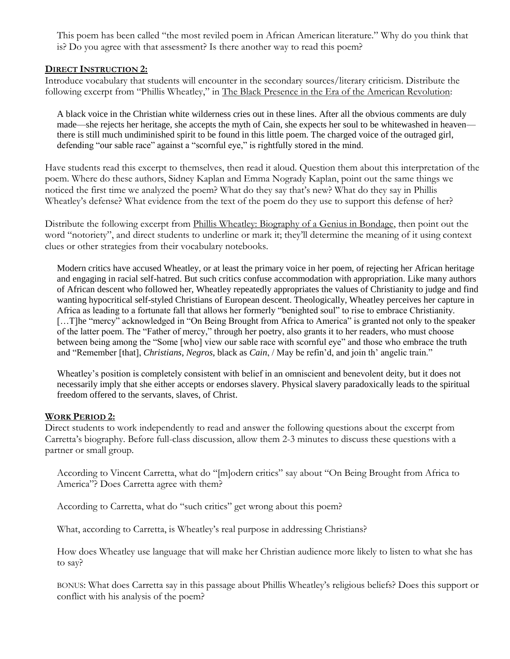This poem has been called "the most reviled poem in African American literature." Why do you think that is? Do you agree with that assessment? Is there another way to read this poem?

### **DIRECT INSTRUCTION 2:**

Introduce vocabulary that students will encounter in the secondary sources/literary criticism. Distribute the following excerpt from "Phillis Wheatley," in The Black Presence in the Era of the American Revolution:

A black voice in the Christian white wilderness cries out in these lines. After all the obvious comments are duly made—she rejects her heritage, she accepts the myth of Cain, she expects her soul to be whitewashed in heaven there is still much undiminished spirit to be found in this little poem. The charged voice of the outraged girl, defending "our sable race" against a "scornful eye," is rightfully stored in the mind.

Have students read this excerpt to themselves, then read it aloud. Question them about this interpretation of the poem. Where do these authors, Sidney Kaplan and Emma Nogrady Kaplan, point out the same things we noticed the first time we analyzed the poem? What do they say that's new? What do they say in Phillis Wheatley's defense? What evidence from the text of the poem do they use to support this defense of her?

Distribute the following excerpt from Phillis Wheatley: Biography of a Genius in Bondage, then point out the word "notoriety", and direct students to underline or mark it; they'll determine the meaning of it using context clues or other strategies from their vocabulary notebooks.

Modern critics have accused Wheatley, or at least the primary voice in her poem, of rejecting her African heritage and engaging in racial self-hatred. But such critics confuse accommodation with appropriation. Like many authors of African descent who followed her, Wheatley repeatedly appropriates the values of Christianity to judge and find wanting hypocritical self-styled Christians of European descent. Theologically, Wheatley perceives her capture in Africa as leading to a fortunate fall that allows her formerly "benighted soul" to rise to embrace Christianity. [...T]he "mercy" acknowledged in "On Being Brought from Africa to America" is granted not only to the speaker of the latter poem. The "Father of mercy," through her poetry, also grants it to her readers, who must choose between being among the "Some [who] view our sable race with scornful eye" and those who embrace the truth and "Remember [that], *Christians*, *Negros*, black as *Cain*, / May be refin'd, and join th' angelic train."

Wheatley's position is completely consistent with belief in an omniscient and benevolent deity, but it does not necessarily imply that she either accepts or endorses slavery. Physical slavery paradoxically leads to the spiritual freedom offered to the servants, slaves, of Christ.

#### **WORK PERIOD 2:**

Direct students to work independently to read and answer the following questions about the excerpt from Carretta's biography. Before full-class discussion, allow them 2-3 minutes to discuss these questions with a partner or small group.

According to Vincent Carretta, what do "[m]odern critics" say about "On Being Brought from Africa to America"? Does Carretta agree with them?

According to Carretta, what do "such critics" get wrong about this poem?

What, according to Carretta, is Wheatley's real purpose in addressing Christians?

How does Wheatley use language that will make her Christian audience more likely to listen to what she has to say?

BONUS: What does Carretta say in this passage about Phillis Wheatley's religious beliefs? Does this support or conflict with his analysis of the poem?